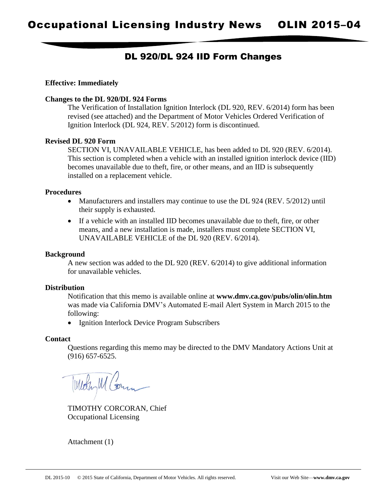# DL 920/DL 924 IID Form Changes

# **Effective: Immediately**

# **Changes to the DL 920/DL 924 Forms**

The Verification of Installation Ignition Interlock (DL 920, REV. 6/2014) form has been revised (see attached) and the Department of Motor Vehicles Ordered Verification of Ignition Interlock (DL 924, REV. 5/2012) form is discontinued.

# **Revised DL 920 Form**

SECTION VI, UNAVAILABLE VEHICLE, has been added to DL 920 (REV. 6/2014). This section is completed when a vehicle with an installed ignition interlock device (IID) becomes unavailable due to theft, fire, or other means, and an IID is subsequently installed on a replacement vehicle.

# **Procedures**

- Manufacturers and installers may continue to use the DL 924 (REV. 5/2012) until their supply is exhausted.
- If a vehicle with an installed IID becomes unavailable due to theft, fire, or other means, and a new installation is made, installers must complete SECTION VI, UNAVAILABLE VEHICLE of the DL 920 (REV. 6/2014).

### **Background**

A new section was added to the DL 920 (REV. 6/2014) to give additional information for unavailable vehicles.

# **Distribution**

Notification that this memo is available online at **www.dmv.ca.gov/pubs/olin/olin.htm**  was made via California DMV's Automated E-mail Alert System in March 2015 to the following:

• Ignition Interlock Device Program Subscribers

### **Contact**

Questions regarding this memo may be directed to the DMV Mandatory Actions Unit at (916) 657-6525.

TIMOTHY CORCORAN, Chief Occupational Licensing

Attachment (1)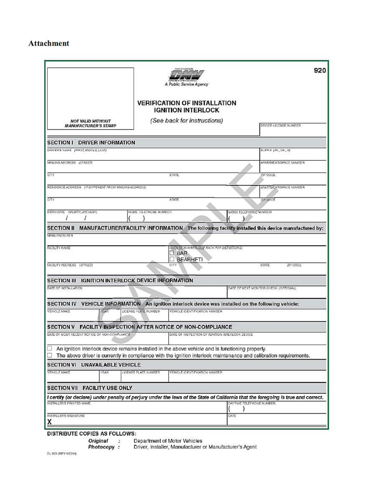# **Attachment**

|                                                                                                     |                          |                       |                                                                                                  |                          | 920                                                                                                                               |
|-----------------------------------------------------------------------------------------------------|--------------------------|-----------------------|--------------------------------------------------------------------------------------------------|--------------------------|-----------------------------------------------------------------------------------------------------------------------------------|
|                                                                                                     |                          |                       | A Public Service Agency                                                                          |                          |                                                                                                                                   |
|                                                                                                     |                          |                       | <b>VERIFICATION OF INSTALLATION</b><br><b>IGNITION INTERLOCK</b>                                 |                          |                                                                                                                                   |
| <b>NOT VALID WITHOUT</b><br><b>MANUFACTURER'S STAMP</b>                                             |                          |                       | (See back for instructions)                                                                      |                          | DRIVER LICENSE NUMBER                                                                                                             |
| SECTION I DRIVER INFORMATION                                                                        |                          |                       |                                                                                                  |                          |                                                                                                                                   |
| DRIVER'S NAME (FIRST, MIDDLE, LAST)                                                                 |                          |                       |                                                                                                  |                          | SUFFIX (JR., SR., UI)                                                                                                             |
| MAILING ADDRESS (STREET)                                                                            |                          |                       |                                                                                                  |                          | APARTMENT/SPAGE NUMBER                                                                                                            |
| CITY                                                                                                |                          |                       | STATE                                                                                            |                          | ZIP CODE                                                                                                                          |
| RESIDENCE ADDRESS (IF DIFFERENT FROM MAILING ADDRESS)                                               |                          |                       |                                                                                                  |                          | APARTMENT/SPACE NUMBER                                                                                                            |
| GITY                                                                                                |                          |                       | STATE.                                                                                           |                          | ZIP OCCE                                                                                                                          |
| BIRTH DATE (MONTH, DAY, YEAR)                                                                       |                          | HOME TELEPHONE NUMBER |                                                                                                  | WORK TELEPHONE NUMBER    |                                                                                                                                   |
|                                                                                                     |                          |                       |                                                                                                  |                          | SECTION II MANUFACTURER/FACILITY INFORMATION The following facility installed this device manufactured by:                        |
| <b>MANUEACTURER</b>                                                                                 |                          |                       |                                                                                                  |                          |                                                                                                                                   |
| FACILITY MAME                                                                                       |                          |                       | LIGENSE NUMBER (SEE BACK FOR DEFINITIONS)<br>BAR<br><b>BEARHFTI</b>                              |                          |                                                                                                                                   |
| FACILITY ADDRESS ISTREETI                                                                           |                          |                       | CITY                                                                                             |                          | STATE<br>ZIP CODE                                                                                                                 |
| SECTION III IGNITION INTERLOCK DEVICE INFORMATION                                                   |                          |                       |                                                                                                  |                          |                                                                                                                                   |
| DATE OF INSTALLATION                                                                                |                          |                       |                                                                                                  |                          | DATE OF NEXT MONITOR OHEON (OPTIONAL)                                                                                             |
| SECTION IV VEHICLE INFORMATION An ignition interlock device was installed on the following vehicle: |                          |                       |                                                                                                  |                          |                                                                                                                                   |
| LICENSE PLATE NUMBER<br>VEHICLE MAKE<br><b>YEAR</b>                                                 |                          |                       | VEHICLE IDENTIFICATION NUMBER                                                                    |                          |                                                                                                                                   |
| <b>SECTION V</b>                                                                                    |                          |                       | FACILITY INSPECTION AFTER NOTICE OF NON-COMPLIANCE                                               |                          |                                                                                                                                   |
| DATE OF MOST RECENT NOTICE OF NON-COMPLIANCE                                                        |                          |                       | DATE OF INSPECTION OF IGNITION INTERLOCK DEVICE                                                  |                          |                                                                                                                                   |
|                                                                                                     |                          |                       | An ignition interlock device remains installed in the above vehicle and is functioning properly. |                          | The above driver is currently in compliance with the ignition interlock maintenance and calibration requirements.                 |
| <b>SECTION VI UNAVAILABLE VEHICLE</b>                                                               |                          |                       |                                                                                                  |                          |                                                                                                                                   |
| VEHICLE MAKE                                                                                        | YEAR                     | LICENSE PLATE NUMBER  | VEHICLE IDENTIFICATION NUMBER                                                                    |                          |                                                                                                                                   |
| <b>SECTION VII</b>                                                                                  | <b>FACILITY USE ONLY</b> |                       |                                                                                                  |                          |                                                                                                                                   |
| <b>INSTALLERS PRINTED NAME</b>                                                                      |                          |                       |                                                                                                  | DAYTIME TELEPHONE NUMBER | I certify (or declare) under penalty of perjury under the laws of the State of California that the foregoing is true and correct. |
| INSTALLER'S SIGNATURE                                                                               |                          |                       |                                                                                                  | DATE                     |                                                                                                                                   |
|                                                                                                     |                          |                       |                                                                                                  |                          |                                                                                                                                   |

#### DISTRIBUTE COPIES AS FOLLOWS:

Original : Department of Motor Vehicles<br>
Photocopy : Driver, Installer, Manufacturer or Manufacturer's Agent